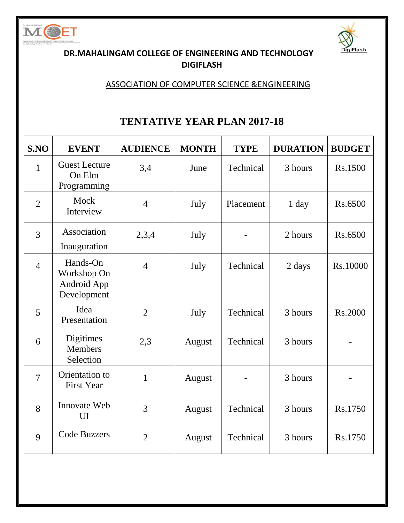



### **DR.MAHALINGAM COLLEGE OF ENGINEERING AND TECHNOLOGY DIGIFLASH**

### ASSOCIATION OF COMPUTER SCIENCE &ENGINEERING

## **TENTATIVE YEAR PLAN 2017-18**

| S.NO           | <b>EVENT</b>                                          | <b>AUDIENCE</b> | <b>MONTH</b> | <b>TYPE</b> | <b>DURATION</b> | <b>BUDGET</b> |
|----------------|-------------------------------------------------------|-----------------|--------------|-------------|-----------------|---------------|
| 1              | <b>Guest Lecture</b><br>On Elm<br>Programming         | 3,4             | June         | Technical   | 3 hours         | Rs.1500       |
| $\overline{2}$ | Mock<br>Interview                                     | $\overline{4}$  | July         | Placement   | $1$ day         | Rs.6500       |
| $\overline{3}$ | Association<br>Inauguration                           | 2,3,4           | July         |             | 2 hours         | Rs.6500       |
| $\overline{4}$ | Hands-On<br>Workshop On<br>Android App<br>Development | $\overline{4}$  | July         | Technical   | 2 days          | Rs.10000      |
| 5              | Idea<br>Presentation                                  | $\overline{2}$  | July         | Technical   | 3 hours         | Rs.2000       |
| 6              | Digitimes<br><b>Members</b><br>Selection              | 2,3             | August       | Technical   | 3 hours         |               |
| $\overline{7}$ | Orientation to<br><b>First Year</b>                   | 1               | August       |             | 3 hours         |               |
| 8              | Innovate Web<br>UI                                    | 3               | August       | Technical   | 3 hours         | Rs.1750       |
| 9              | <b>Code Buzzers</b>                                   | $\overline{2}$  | August       | Technical   | 3 hours         | Rs.1750       |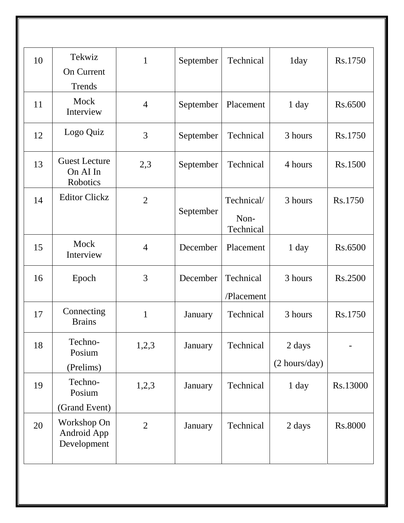| 10 | Tekwiz                                                     | $\mathbf{1}$   | September | Technical                       | 1day                    | Rs.1750  |
|----|------------------------------------------------------------|----------------|-----------|---------------------------------|-------------------------|----------|
|    | <b>On Current</b><br>Trends                                |                |           |                                 |                         |          |
| 11 | Mock<br>Interview                                          | $\overline{4}$ | September | Placement                       | 1 day                   | Rs.6500  |
| 12 | Logo Quiz                                                  | 3              | September | Technical                       | 3 hours                 | Rs.1750  |
| 13 | <b>Guest Lecture</b><br>On AI In<br>Robotics               | 2,3            | September | Technical                       | 4 hours                 | Rs.1500  |
| 14 | <b>Editor Clickz</b>                                       | $\overline{2}$ | September | Technical/<br>Non-<br>Technical | 3 hours                 | Rs.1750  |
| 15 | Mock<br>Interview                                          | $\overline{4}$ | December  | Placement                       | 1 day                   | Rs.6500  |
| 16 | Epoch                                                      | 3              | December  | Technical<br>/Placement         | 3 hours                 | Rs.2500  |
| 17 | Connecting<br><b>Brains</b>                                | $\mathbf{1}$   | January   | Technical                       | 3 hours                 | Rs.1750  |
| 18 | Techno-<br>Posium<br>(Prelims)                             | 1,2,3          | January   | Technical                       | 2 days<br>(2 hours/day) |          |
| 19 | Techno-<br>Posium                                          | 1,2,3          | January   | Technical                       | 1 day                   | Rs.13000 |
| 20 | (Grand Event)<br>Workshop On<br>Android App<br>Development | $\overline{2}$ | January   | Technical                       | 2 days                  | Rs.8000  |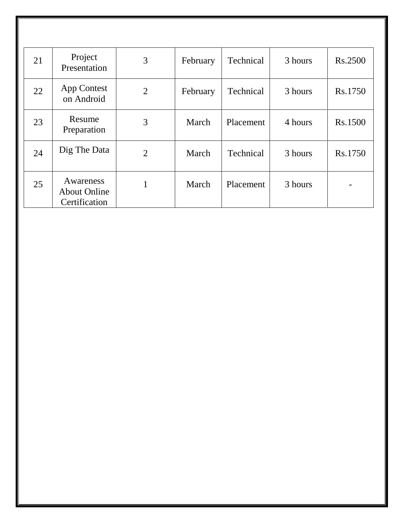| 21 | Project<br>Presentation                           | 3              | February | Technical | 3 hours | Rs.2500 |
|----|---------------------------------------------------|----------------|----------|-----------|---------|---------|
| 22 | App Contest<br>on Android                         | $\overline{2}$ | February | Technical | 3 hours | Rs.1750 |
| 23 | Resume<br>Preparation                             | 3              | March    | Placement | 4 hours | Rs.1500 |
| 24 | Dig The Data                                      | $\overline{2}$ | March    | Technical | 3 hours | Rs.1750 |
| 25 | Awareness<br><b>About Online</b><br>Certification |                | March    | Placement | 3 hours |         |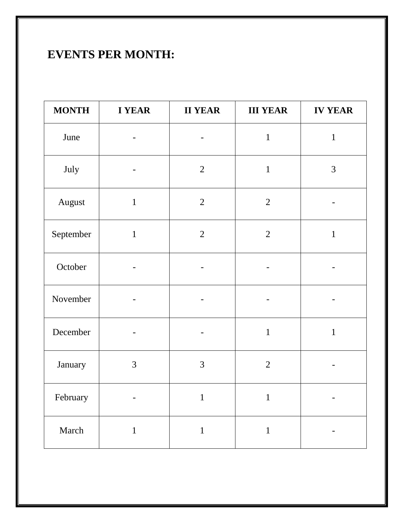# **EVENTS PER MONTH:**

| <b>MONTH</b> | <b>I YEAR</b><br><b>II YEAR</b> |                | <b>III YEAR</b> | <b>IV YEAR</b> |  |
|--------------|---------------------------------|----------------|-----------------|----------------|--|
| June         |                                 |                | $\mathbf{1}$    | $\mathbf{1}$   |  |
| July         | -                               | $\overline{2}$ | $\mathbf{1}$    | 3              |  |
| August       | $\mathbf{1}$                    | $\sqrt{2}$     | $\overline{2}$  |                |  |
| September    | $\mathbf{1}$                    | $\overline{2}$ | $\sqrt{2}$      | $\mathbf{1}$   |  |
| October      |                                 |                |                 |                |  |
| November     | $\qquad \qquad \blacksquare$    |                |                 |                |  |
| December     | $\qquad \qquad -$               |                | $\mathbf{1}$    | $\mathbf 1$    |  |
| January      | 3                               | 3              | $\overline{2}$  |                |  |
| February     |                                 | $\mathbf{1}$   | $\mathbf{1}$    |                |  |
| March        | $\mathbf 1$                     | $\mathbf{1}$   | $\mathbf{1}$    |                |  |